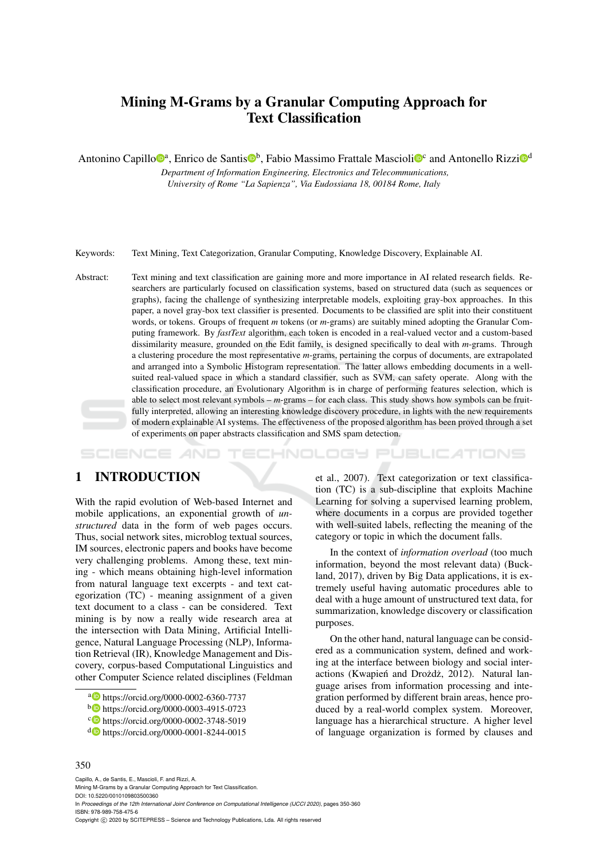# Mining M-Grams by a Granular Computing Approach for Text Classification

Antonino Capillo<sup>®</sup>, Enrico de Santis<sup>®</sup>, Fabio Massimo Frattale Mascioli<sup>®</sup> and Antonello Rizzi<sup>®</sup>

*Department of Information Engineering, Electronics and Telecommunications, University of Rome "La Sapienza", Via Eudossiana 18, 00184 Rome, Italy*

Keywords: Text Mining, Text Categorization, Granular Computing, Knowledge Discovery, Explainable AI.

Abstract: Text mining and text classification are gaining more and more importance in AI related research fields. Researchers are particularly focused on classification systems, based on structured data (such as sequences or graphs), facing the challenge of synthesizing interpretable models, exploiting gray-box approaches. In this paper, a novel gray-box text classifier is presented. Documents to be classified are split into their constituent words, or tokens. Groups of frequent *m* tokens (or *m*-grams) are suitably mined adopting the Granular Computing framework. By *fastText* algorithm, each token is encoded in a real-valued vector and a custom-based dissimilarity measure, grounded on the Edit family, is designed specifically to deal with *m*-grams. Through a clustering procedure the most representative *m*-grams, pertaining the corpus of documents, are extrapolated and arranged into a Symbolic Histogram representation. The latter allows embedding documents in a wellsuited real-valued space in which a standard classifier, such as SVM, can safety operate. Along with the classification procedure, an Evolutionary Algorithm is in charge of performing features selection, which is able to select most relevant symbols – *m*-grams – for each class. This study shows how symbols can be fruitfully interpreted, allowing an interesting knowledge discovery procedure, in lights with the new requirements of modern explainable AI systems. The effectiveness of the proposed algorithm has been proved through a set of experiments on paper abstracts classification and SMS spam detection.

SCIENCE **INICIL PUBLICATIONS** n 69 9

# 1 INTRODUCTION

With the rapid evolution of Web-based Internet and mobile applications, an exponential growth of *unstructured* data in the form of web pages occurs. Thus, social network sites, microblog textual sources, IM sources, electronic papers and books have become very challenging problems. Among these, text mining - which means obtaining high-level information from natural language text excerpts - and text categorization (TC) - meaning assignment of a given text document to a class - can be considered. Text mining is by now a really wide research area at the intersection with Data Mining, Artificial Intelligence, Natural Language Processing (NLP), Information Retrieval (IR), Knowledge Management and Discovery, corpus-based Computational Linguistics and other Computer Science related disciplines (Feldman

et al., 2007). Text categorization or text classification (TC) is a sub-discipline that exploits Machine Learning for solving a supervised learning problem, where documents in a corpus are provided together with well-suited labels, reflecting the meaning of the category or topic in which the document falls.

In the context of *information overload* (too much information, beyond the most relevant data) (Buckland, 2017), driven by Big Data applications, it is extremely useful having automatic procedures able to deal with a huge amount of unstructured text data, for summarization, knowledge discovery or classification purposes.

On the other hand, natural language can be considered as a communication system, defined and working at the interface between biology and social interactions (Kwapień and Drożdż, 2012). Natural language arises from information processing and integration performed by different brain areas, hence produced by a real-world complex system. Moreover, language has a hierarchical structure. A higher level of language organization is formed by clauses and

#### 350

Capillo, A., de Santis, E., Mascioli, F. and Rizzi, A. Mining M-Grams by a Granular Computing Approach for Text Classification.

DOI: 10.5220/0010109803500360

In *Proceedings of the 12th International Joint Conference on Computational Intelligence (IJCCI 2020)*, pages 350-360 ISBN: 978-989-758-475-6

Copyright © 2020 by SCITEPRESS - Science and Technology Publications, Lda. All rights reserved

<sup>a</sup> https://orcid.org/0000-0002-6360-7737

<sup>b</sup> https://orcid.org/0000-0003-4915-0723

c https://orcid.org/0000-0002-3748-5019

<sup>d</sup> https://orcid.org/0000-0001-8244-0015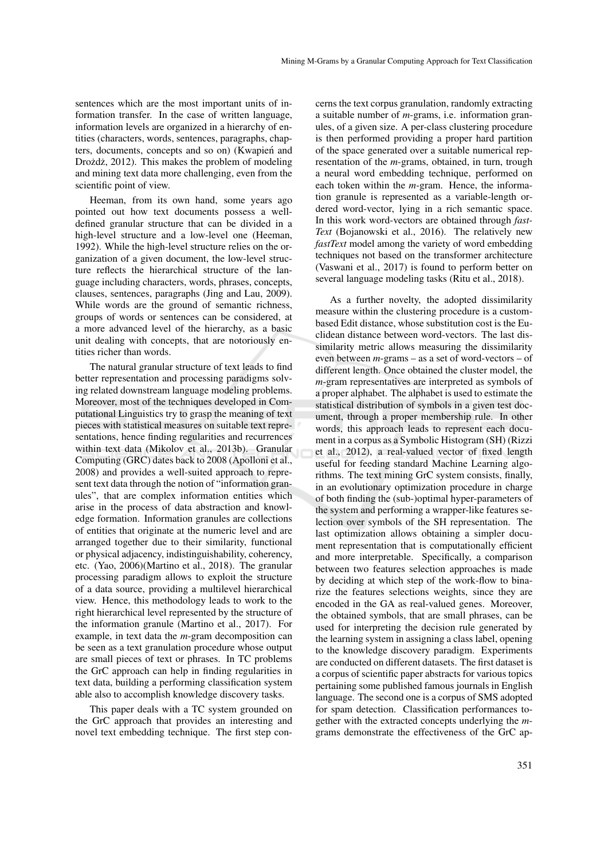sentences which are the most important units of information transfer. In the case of written language, information levels are organized in a hierarchy of entities (characters, words, sentences, paragraphs, chapters, documents, concepts and so on) (Kwapień and Drożdż, 2012). This makes the problem of modeling and mining text data more challenging, even from the scientific point of view.

Heeman, from its own hand, some years ago pointed out how text documents possess a welldefined granular structure that can be divided in a high-level structure and a low-level one (Heeman, 1992). While the high-level structure relies on the organization of a given document, the low-level structure reflects the hierarchical structure of the language including characters, words, phrases, concepts, clauses, sentences, paragraphs (Jing and Lau, 2009). While words are the ground of semantic richness, groups of words or sentences can be considered, at a more advanced level of the hierarchy, as a basic unit dealing with concepts, that are notoriously entities richer than words.

The natural granular structure of text leads to find better representation and processing paradigms solving related downstream language modeling problems. Moreover, most of the techniques developed in Computational Linguistics try to grasp the meaning of text pieces with statistical measures on suitable text representations, hence finding regularities and recurrences within text data (Mikolov et al., 2013b). Granular Computing (GRC) dates back to 2008 (Apolloni et al., 2008) and provides a well-suited approach to represent text data through the notion of "information granules", that are complex information entities which arise in the process of data abstraction and knowledge formation. Information granules are collections of entities that originate at the numeric level and are arranged together due to their similarity, functional or physical adjacency, indistinguishability, coherency, etc. (Yao, 2006)(Martino et al., 2018). The granular processing paradigm allows to exploit the structure of a data source, providing a multilevel hierarchical view. Hence, this methodology leads to work to the right hierarchical level represented by the structure of the information granule (Martino et al., 2017). For example, in text data the *m*-gram decomposition can be seen as a text granulation procedure whose output are small pieces of text or phrases. In TC problems the GrC approach can help in finding regularities in text data, building a performing classification system able also to accomplish knowledge discovery tasks.

This paper deals with a TC system grounded on the GrC approach that provides an interesting and novel text embedding technique. The first step concerns the text corpus granulation, randomly extracting a suitable number of *m*-grams, i.e. information granules, of a given size. A per-class clustering procedure is then performed providing a proper hard partition of the space generated over a suitable numerical representation of the *m*-grams, obtained, in turn, trough a neural word embedding technique, performed on each token within the *m*-gram. Hence, the information granule is represented as a variable-length ordered word-vector, lying in a rich semantic space. In this work word-vectors are obtained through *fast-Text* (Bojanowski et al., 2016). The relatively new *fastText* model among the variety of word embedding techniques not based on the transformer architecture (Vaswani et al., 2017) is found to perform better on several language modeling tasks (Ritu et al., 2018).

As a further novelty, the adopted dissimilarity measure within the clustering procedure is a custombased Edit distance, whose substitution cost is the Euclidean distance between word-vectors. The last dissimilarity metric allows measuring the dissimilarity even between *m*-grams – as a set of word-vectors – of different length. Once obtained the cluster model, the *m*-gram representatives are interpreted as symbols of a proper alphabet. The alphabet is used to estimate the statistical distribution of symbols in a given test document, through a proper membership rule. In other words, this approach leads to represent each document in a corpus as a Symbolic Histogram (SH) (Rizzi et al., 2012), a real-valued vector of fixed length useful for feeding standard Machine Learning algorithms. The text mining GrC system consists, finally, in an evolutionary optimization procedure in charge of both finding the (sub-)optimal hyper-parameters of the system and performing a wrapper-like features selection over symbols of the SH representation. The last optimization allows obtaining a simpler document representation that is computationally efficient and more interpretable. Specifically, a comparison between two features selection approaches is made by deciding at which step of the work-flow to binarize the features selections weights, since they are encoded in the GA as real-valued genes. Moreover, the obtained symbols, that are small phrases, can be used for interpreting the decision rule generated by the learning system in assigning a class label, opening to the knowledge discovery paradigm. Experiments are conducted on different datasets. The first dataset is a corpus of scientific paper abstracts for various topics pertaining some published famous journals in English language. The second one is a corpus of SMS adopted for spam detection. Classification performances together with the extracted concepts underlying the *m*grams demonstrate the effectiveness of the GrC ap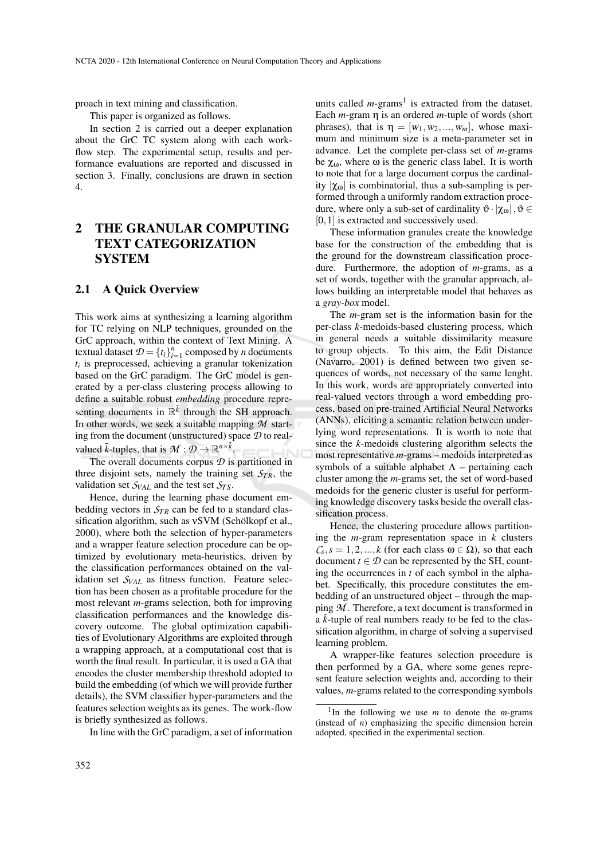proach in text mining and classification.

This paper is organized as follows.

In section 2 is carried out a deeper explanation about the GrC TC system along with each workflow step. The experimental setup, results and performance evaluations are reported and discussed in section 3. Finally, conclusions are drawn in section 4.

# 2 THE GRANULAR COMPUTING TEXT CATEGORIZATION **SYSTEM**

#### 2.1 A Quick Overview

This work aims at synthesizing a learning algorithm for TC relying on NLP techniques, grounded on the GrC approach, within the context of Text Mining. A textual dataset  $\mathcal{D} = \{t_i\}_{i=1}^n$  composed by *n* documents *ti* is preprocessed, achieving a granular tokenization based on the GrC paradigm. The GrC model is generated by a per-class clustering process allowing to define a suitable robust *embedding* procedure representing documents in  $\mathbb{R}^{\tilde{k}}$  through the SH approach. In other words, we seek a suitable mapping *M* starting from the document (unstructured) space *D* to realvalued  $\tilde{k}$ -tuples, that is  $\mathcal{M}: \mathcal{D} \to \mathbb{R}^{n \times \tilde{k}}$ .

The overall documents corpus *D* is partitioned in three disjoint sets, namely the training set  $S_{TR}$ , the validation set  $S_{VAL}$  and the test set  $S_{TS}$ .

Hence, during the learning phase document embedding vectors in *ST R* can be fed to a standard classification algorithm, such as vSVM (Schölkopf et al., 2000), where both the selection of hyper-parameters and a wrapper feature selection procedure can be optimized by evolutionary meta-heuristics, driven by the classification performances obtained on the validation set *SVAL* as fitness function. Feature selection has been chosen as a profitable procedure for the most relevant *m*-grams selection, both for improving classification performances and the knowledge discovery outcome. The global optimization capabilities of Evolutionary Algorithms are exploited through a wrapping approach, at a computational cost that is worth the final result. In particular, it is used a GA that encodes the cluster membership threshold adopted to build the embedding (of which we will provide further details), the SVM classifier hyper-parameters and the features selection weights as its genes. The work-flow is briefly synthesized as follows.

In line with the GrC paradigm, a set of information

units called  $m$ -grams<sup>1</sup> is extracted from the dataset. Each *m*-gram η is an ordered *m*-tuple of words (short phrases), that is  $\eta = [w_1, w_2, ..., w_m]$ , whose maximum and minimum size is a meta-parameter set in advance. Let the complete per-class set of *m*-grams be  $\chi_{\omega}$ , where  $\omega$  is the generic class label. It is worth to note that for a large document corpus the cardinality  $|\chi_{0}|$  is combinatorial, thus a sub-sampling is performed through a uniformly random extraction procedure, where only a sub-set of cardinality  $\vartheta \cdot | \chi_{\omega} |$ ,  $\vartheta \in$ [0, 1] is extracted and successively used.

These information granules create the knowledge base for the construction of the embedding that is the ground for the downstream classification procedure. Furthermore, the adoption of *m*-grams, as a set of words, together with the granular approach, allows building an interpretable model that behaves as a *gray-box* model.

The *m*-gram set is the information basin for the per-class *k*-medoids-based clustering process, which in general needs a suitable dissimilarity measure to group objects. To this aim, the Edit Distance (Navarro, 2001) is defined between two given sequences of words, not necessary of the same lenght. In this work, words are appropriately converted into real-valued vectors through a word embedding process, based on pre-trained Artificial Neural Networks (ANNs), eliciting a semantic relation between underlying word representations. It is worth to note that since the *k*-medoids clustering algorithm selects the most representative *m*-grams – medoids interpreted as symbols of a suitable alphabet  $\Lambda$  – pertaining each cluster among the *m*-grams set, the set of word-based medoids for the generic cluster is useful for performing knowledge discovery tasks beside the overall classification process.

Hence, the clustering procedure allows partitioning the *m*-gram representation space in *k* clusters  $C_s$ ,  $s = 1, 2, ..., k$  (for each class  $\omega \in \Omega$ ), so that each document  $t \in \mathcal{D}$  can be represented by the SH, counting the occurrences in *t* of each symbol in the alphabet. Specifically, this procedure constitutes the embedding of an unstructured object – through the mapping *M* . Therefore, a text document is transformed in a ˜*k*-tuple of real numbers ready to be fed to the classification algorithm, in charge of solving a supervised learning problem.

A wrapper-like features selection procedure is then performed by a GA, where some genes represent feature selection weights and, according to their values, *m*-grams related to the corresponding symbols

<sup>&</sup>lt;sup>1</sup>In the following we use  $m$  to denote the  $m$ -grams (instead of *n*) emphasizing the specific dimension herein adopted, specified in the experimental section.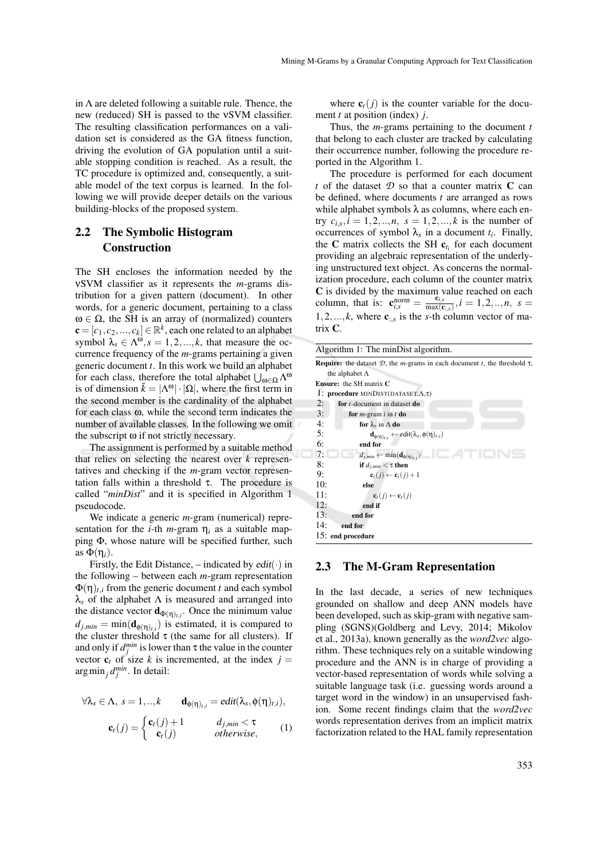in  $\Lambda$  are deleted following a suitable rule. Thence, the new (reduced) SH is passed to the νSVM classifier. The resulting classification performances on a validation set is considered as the GA fitness function, driving the evolution of GA population until a suitable stopping condition is reached. As a result, the TC procedure is optimized and, consequently, a suitable model of the text corpus is learned. In the following we will provide deeper details on the various building-blocks of the proposed system.

## 2.2 The Symbolic Histogram Construction

The SH encloses the information needed by the νSVM classifier as it represents the *m*-grams distribution for a given pattern (document). In other words, for a generic document, pertaining to a class  $ω ∈ Ω$ , the SH is an array of (normalized) counters  $\mathbf{c} = [c_1, c_2, ..., c_k] \in \mathbb{R}^k$ , each one related to an alphabet symbol  $\lambda_s \in \Lambda^{\omega}, s = 1, 2, ..., k$ , that measure the occurrence frequency of the *m*-grams pertaining a given generic document *t*. In this work we build an alphabet for each class, therefore the total alphabet  $\bigcup_{\omega \in \Omega} \Lambda^{\omega}$ is of dimension  $\tilde{k} = |\Lambda^{\omega}| \cdot |\Omega|$ , where the first term in the second member is the cardinality of the alphabet for each class ω, while the second term indicates the number of available classes. In the following we omit the subscript ω if not strictly necessary.

The assignment is performed by a suitable method that relies on selecting the nearest over *k* representatives and checking if the *m*-gram vector representation falls within a threshold τ. The procedure is called "*minDist*" and it is specified in Algorithm 1 pseudocode.

We indicate a generic *m*-gram (numerical) representation for the *i*-th *m*-gram  $\eta_i$  as a suitable mapping Φ, whose nature will be specified further, such as  $\Phi(\eta_i)$ .

Firstly, the Edit Distance,  $-$  indicated by  $edit(·)$  in the following – between each *m*-gram representation  $\Phi(\eta)_{t,i}$  from the generic document *t* and each symbol  $\lambda_s$  of the alphabet  $\Lambda$  is measured and arranged into the distance vector  $\mathbf{d}_{\Phi(\eta)_{t,i}}$ . Once the minimum value  $d_{j,min} = \min(\mathbf{d}_{\phi(\eta)_{t,i}})$  is estimated, it is compared to the cluster threshold  $\tau$  (the same for all clusters). If and only if  $d_j^{min}$  is lower than  $\tau$  the value in the counter vector  $\mathbf{c}_t$  of size *k* is incremented, at the index  $j =$ arg min<sub>j</sub>  $d_j^{min}$ . In detail:

$$
\forall \lambda_{s} \in \Lambda, \ s = 1,..,k \qquad \mathbf{d}_{\phi(\eta)_{t,i}} = edit(\lambda_{s}, \phi(\eta)_{t,i}),
$$

$$
\mathbf{c}_{t}(j) = \begin{cases} \mathbf{c}_{t}(j) + 1 & d_{j,min} < \tau \\ \mathbf{c}_{t}(j) & otherwise, \end{cases} \qquad (1)
$$

where  $c_t(j)$  is the counter variable for the document *t* at position (index) *j*.

Thus, the *m*-grams pertaining to the document *t* that belong to each cluster are tracked by calculating their occurrence number, following the procedure reported in the Algorithm 1.

The procedure is performed for each document *t* of the dataset  $D$  so that a counter matrix  $C$  can be defined, where documents *t* are arranged as rows while alphabet symbols  $\lambda$  as columns, where each entry  $c_{i,s}$ ,  $i = 1, 2, ..., n$ ,  $s = 1, 2, ..., k$  is the number of occurrences of symbol  $\lambda_s$  in a document  $t_i$ . Finally, the **C** matrix collects the SH  $c_{t_i}$  for each document providing an algebraic representation of the underlying unstructured text object. As concerns the normalization procedure, each column of the counter matrix C is divided by the maximum value reached on each column, that is:  $\mathbf{c}_{i,s}^{norm} = \frac{\mathbf{c}_{i,s}}{\max(\mathbf{c})}$  $\frac{\mathbf{c}_{i,s}}{\max(\mathbf{c}_{:,s})}, i = 1, 2, ..., n, s =$ 1,2,..., $k$ , where  $\mathbf{c}_{:,s}$  is the *s*-th column vector of matrix C.

| Algorithm 1: The minDist algorithm.                                                                      |
|----------------------------------------------------------------------------------------------------------|
| <b>Require:</b> the dataset $D$ , the <i>m</i> -grams in each document <i>t</i> , the threshold $\tau$ , |
| the alphabet $\Lambda$                                                                                   |
| <b>Ensure:</b> the SH matrix C                                                                           |
| <b>1:</b> procedure MINDIST(DATASET, $\Lambda$ , $\tau$ )                                                |
| 2:<br>for $t$ -document in dataset do                                                                    |
| 3:<br>for $m$ -gram $i$ in $t$ do                                                                        |
| 4:<br>for $\lambda_s$ in $\Lambda$ do                                                                    |
| 5:<br>$\mathbf{d}_{\phi(\eta)_{t,i}} \leftarrow edit(\lambda_s, \phi(\eta)_{t,i})$                       |
| 6:<br>end for                                                                                            |
| 7:<br>- 1027<br>$d_{j,min} \leftarrow \min(\mathbf{d}_{\phi(\eta)_{t,i}})$                               |
| 8:<br>if $d_{j,min} < \tau$ then                                                                         |
| 9:<br>$\mathbf{c}_t(j) \leftarrow \mathbf{c}_t(j) + 1$                                                   |
| 10:<br>else                                                                                              |
| 11:<br>$\mathbf{c}_t(j) \leftarrow \mathbf{c}_t(j)$                                                      |
| 12:<br>end if                                                                                            |
| 13:<br>end for                                                                                           |
| 14:<br>end for                                                                                           |
| 15: end procedure                                                                                        |

#### 2.3 The M-Gram Representation

In the last decade, a series of new techniques grounded on shallow and deep ANN models have been developed, such as skip-gram with negative sampling (SGNS)(Goldberg and Levy, 2014; Mikolov et al., 2013a), known generally as the *word2vec* algorithm. These techniques rely on a suitable windowing procedure and the ANN is in charge of providing a vector-based representation of words while solving a suitable language task (i.e. guessing words around a target word in the window) in an unsupervised fashion. Some recent findings claim that the *word2vec* words representation derives from an implicit matrix factorization related to the HAL family representation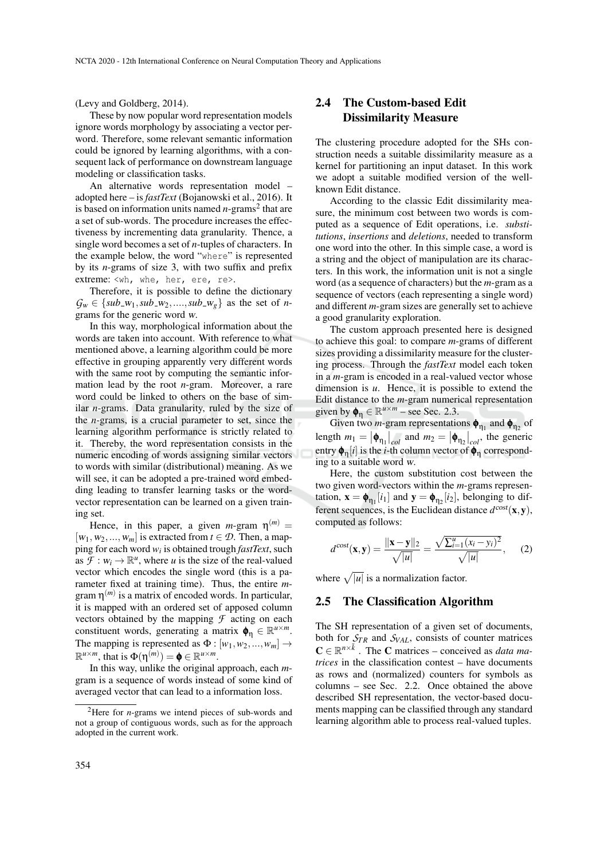(Levy and Goldberg, 2014).

These by now popular word representation models ignore words morphology by associating a vector perword. Therefore, some relevant semantic information could be ignored by learning algorithms, with a consequent lack of performance on downstream language modeling or classification tasks.

An alternative words representation model – adopted here – is *fastText* (Bojanowski et al., 2016). It is based on information units named *n*-grams<sup>2</sup> that are a set of sub-words. The procedure increases the effectiveness by incrementing data granularity. Thence, a single word becomes a set of *n*-tuples of characters. In the example below, the word "where" is represented by its *n*-grams of size 3, with two suffix and prefix extreme: <wh, whe, her, ere, re>.

Therefore, it is possible to define the dictionary  $G_w \in \{sub_w, sub_w, sub_w, \ldots, sub_w\}$  as the set of *n*grams for the generic word w.

In this way, morphological information about the words are taken into account. With reference to what mentioned above, a learning algorithm could be more effective in grouping apparently very different words with the same root by computing the semantic information lead by the root *n*-gram. Moreover, a rare word could be linked to others on the base of similar *n*-grams. Data granularity, ruled by the size of the *n*-grams, is a crucial parameter to set, since the learning algorithm performance is strictly related to it. Thereby, the word representation consists in the numeric encoding of words assigning similar vectors to words with similar (distributional) meaning. As we will see, it can be adopted a pre-trained word embedding leading to transfer learning tasks or the wordvector representation can be learned on a given training set.

Hence, in this paper, a given  $m$ -gram  $\eta^{(m)}$  =  $[w_1, w_2, ..., w_m]$  is extracted from  $t \in \mathcal{D}$ . Then, a mapping for each word *w<sup>i</sup>* is obtained trough *fastText*, such as  $\mathcal{F}: w_i \to \mathbb{R}^u$ , where *u* is the size of the real-valued vector which encodes the single word (this is a parameter fixed at training time). Thus, the entire *m*gram η (*m*) is a matrix of encoded words. In particular, it is mapped with an ordered set of apposed column vectors obtained by the mapping  $\mathcal F$  acting on each constituent words, generating a matrix  $\phi_{\eta} \in \mathbb{R}^{u \times m}$ . The mapping is represented as  $\Phi : [w_1, w_2, ..., w_m] \rightarrow$  $\mathbb{R}^{u \times m}$ , that is  $\Phi(\eta^{(m)}) = \mathbf{\phi} \in \mathbb{R}^{u \times m}$ .

In this way, unlike the original approach, each *m*gram is a sequence of words instead of some kind of averaged vector that can lead to a information loss.

### 2.4 The Custom-based Edit Dissimilarity Measure

The clustering procedure adopted for the SHs construction needs a suitable dissimilarity measure as a kernel for partitioning an input dataset. In this work we adopt a suitable modified version of the wellknown Edit distance.

According to the classic Edit dissimilarity measure, the minimum cost between two words is computed as a sequence of Edit operations, i.e. *substitutions*, *insertions* and *deletions*, needed to transform one word into the other. In this simple case, a word is a string and the object of manipulation are its characters. In this work, the information unit is not a single word (as a sequence of characters) but the *m*-gram as a sequence of vectors (each representing a single word) and different *m*-gram sizes are generally set to achieve a good granularity exploration.

The custom approach presented here is designed to achieve this goal: to compare *m*-grams of different sizes providing a dissimilarity measure for the clustering process. Through the *fastText* model each token in a *m*-gram is encoded in a real-valued vector whose dimension is *u*. Hence, it is possible to extend the Edit distance to the *m*-gram numerical representation given by  $\phi_{\eta} \in \mathbb{R}^{u \times m}$  – see Sec. 2.3.

Given two *m*-gram representations  $\phi_{\eta_1}$  and  $\phi_{\eta_2}$  of length  $m_1 = |\phi_{\eta_1}|_{col}$  and  $m_2 = |\phi_{\eta_2}|_{col}$ , the generic entry  $\phi_{\eta}[i]$  is the *i*-th column vector of  $\phi_{\eta}$  corresponding to a suitable word w.

Here, the custom substitution cost between the two given word-vectors within the *m*-grams representation,  $\mathbf{x} = \boldsymbol{\phi}_{\eta_1}[i_1]$  and  $\mathbf{y} = \boldsymbol{\phi}_{\eta_2}[i_2]$ , belonging to different sequences, is the Euclidean distance  $d^{\text{cost}}(x, y)$ , computed as follows:

$$
d^{\text{cost}}(\mathbf{x}, \mathbf{y}) = \frac{\|\mathbf{x} - \mathbf{y}\|_2}{\sqrt{|u|}} = \frac{\sqrt{\sum_{i=1}^{u} (x_i - y_i)^2}}{\sqrt{|u|}},\qquad(2)
$$

where  $\sqrt{|u|}$  is a normalization factor.

### 2.5 The Classification Algorithm

The SH representation of a given set of documents, both for  $S_{TR}$  and  $S_{VAL}$ , consists of counter matrices  $\mathbf{C} \in \mathbb{R}^{n \times \tilde{k}}$ . The **C** matrices – conceived as *data matrices* in the classification contest – have documents as rows and (normalized) counters for symbols as columns – see Sec. 2.2. Once obtained the above described SH representation, the vector-based documents mapping can be classified through any standard learning algorithm able to process real-valued tuples.

<sup>2</sup>Here for *n*-grams we intend pieces of sub-words and not a group of contiguous words, such as for the approach adopted in the current work.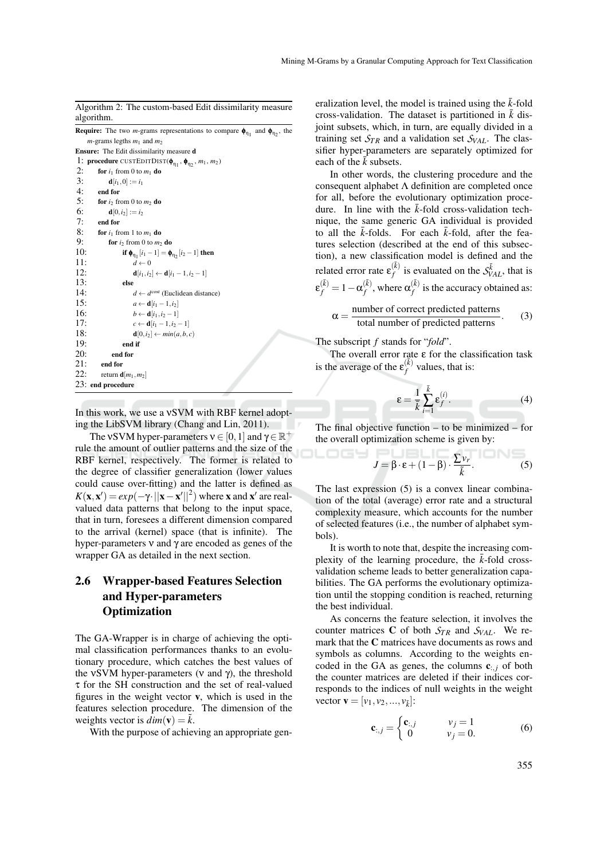Algorithm 2: The custom-based Edit dissimilarity measure algorithm.

**Require:** The two *m*-grams representations to compare  $\phi_{\eta_1}$  and  $\phi_{\eta_2}$ , the  $m$ -grams legths  $m_1$  and  $m_2$ 

Ensure: The Edit dissimilarity measure d

```
1: procedure CUSTEDITDIST(\phi_{\eta_1}, \phi_{\eta_2}, m_1, m_2)
2: for i_1 from 0 to m_1 do
3: d[i_1, 0] := i_14: end for<br>5: for i_2 fr
5: for i_2 from 0 to m_2 do<br>6: d[0, i_2] := i_26: d[0, i_2] := i_2<br>7: end for
         end for
8: for i_1 from 1 to m_1 do<br>9. for i_2 from 0 to m_29: for i_2 from 0 to m_2 do<br>10: if \phi_m, [i_1 - 1] = \phi.
10: if \phi_{\eta_1}[i_1 - 1] = \phi_{\eta_2}[i_2 - 1] then
11: \vec{d} \leftarrow 0<br>12: d[i_1, i_2]d[i_1, i_2] \leftarrow d[i_1 - 1, i_2 - 1]13: else
14: d \leftarrow d^{\text{cost}} (Euclidean distance)
15: a ← d[i<sub>1</sub> − 1,i<sub>2</sub>]
16: b \leftarrow d[i_1, i_2 - 1]17: c \leftarrow d[i_1 - 1, i_2 - 1]18: d[0,i<sub>2</sub>] \leftarrow min(a, b, c)<br>19: end if
                   end if
20: end for<br>21: end for
           end for
22: return \mathbf{d}[m_1,m_2]23: end procedure
```
In this work, we use a νSVM with RBF kernel adopting the LibSVM library (Chang and Lin, 2011).

The vSVM hyper-parameters  $v \in [0, 1]$  and  $\gamma \in \mathbb{R}^+$ rule the amount of outlier patterns and the size of the RBF kernel, respectively. The former is related to the degree of classifier generalization (lower values could cause over-fitting) and the latter is defined as  $K(\mathbf{x}, \mathbf{x}') = exp(-\gamma \cdot ||\mathbf{x} - \mathbf{x}'||^2)$  where **x** and **x**<sup>*i*</sup> are realvalued data patterns that belong to the input space, that in turn, foresees a different dimension compared to the arrival (kernel) space (that is infinite). The hyper-parameters ν and γ are encoded as genes of the wrapper GA as detailed in the next section.

# 2.6 Wrapper-based Features Selection and Hyper-parameters **Optimization**

The GA-Wrapper is in charge of achieving the optimal classification performances thanks to an evolutionary procedure, which catches the best values of the vSVM hyper-parameters ( $ν$  and  $γ$ ), the threshold τ for the SH construction and the set of real-valued figures in the weight vector v, which is used in the features selection procedure. The dimension of the weights vector is  $dim(v) = k$ .

With the purpose of achieving an appropriate gen-

eralization level, the model is trained using the  $\bar{k}$ -fold cross-validation. The dataset is partitioned in  $\bar{k}$  disjoint subsets, which, in turn, are equally divided in a training set  $S_{TR}$  and a validation set  $S_{VAL}$ . The classifier hyper-parameters are separately optimized for each of the  $\bar{k}$  subsets.

In other words, the clustering procedure and the consequent alphabet  $\Lambda$  definition are completed once for all, before the evolutionary optimization procedure. In line with the  $\bar{k}$ -fold cross-validation technique, the same generic GA individual is provided to all the  $\bar{k}$ -folds. For each  $\bar{k}$ -fold, after the features selection (described at the end of this subsection), a new classification model is defined and the related error rate  $\epsilon_f^{(\bar{k})}$  $S_f^{(k)}$  is evaluated on the  $S_{VAL}^{k}$ , that is  $\mathbf{\varepsilon}^{(\bar{k})}_f = 1 - \mathbf{\alpha}^{(\bar{k})}_f$  $\alpha_f^{(\bar{k})}$ , where  $\alpha_f^{(\bar{k})}$  $f_f^{(k)}$  is the accuracy obtained as:

$$
= \frac{\text{number of correct predicted patterns}}{\text{total number of predicted patterns}}.
$$
 (3)

The subscript *f* stands for "*fold*".

 $\alpha$ 

LOGY

The overall error rate ε for the classification task is the average of the  $\varepsilon_f^{(\vec{k})}$  $f^{(k)}$  values, that is:

$$
\varepsilon = \frac{1}{\bar{k}} \sum_{i=1}^{\bar{k}} \varepsilon_f^{(i)}.
$$
 (4)

The final objective function – to be minimized – for the overall optimization scheme is given by:

$$
J = \beta \cdot \varepsilon + (1 - \beta) \cdot \frac{\sum v_r}{\tilde{k}}.
$$
 (5)

The last expression (5) is a convex linear combination of the total (average) error rate and a structural complexity measure, which accounts for the number of selected features (i.e., the number of alphabet symbols).

It is worth to note that, despite the increasing complexity of the learning procedure, the  $k$ -fold crossvalidation scheme leads to better generalization capabilities. The GA performs the evolutionary optimization until the stopping condition is reached, returning the best individual.

As concerns the feature selection, it involves the counter matrices C of both  $S_{TR}$  and  $S_{VAL}$ . We remark that the C matrices have documents as rows and symbols as columns. According to the weights encoded in the GA as genes, the columns  $c_{i,j}$  of both the counter matrices are deleted if their indices corresponds to the indices of null weights in the weight vector  $\mathbf{v} = [v_1, v_2, ..., v_{k}]$ :

$$
\mathbf{c}_{:,j} = \begin{cases} \mathbf{c}_{:,j} & v_j = 1 \\ 0 & v_j = 0. \end{cases} \tag{6}
$$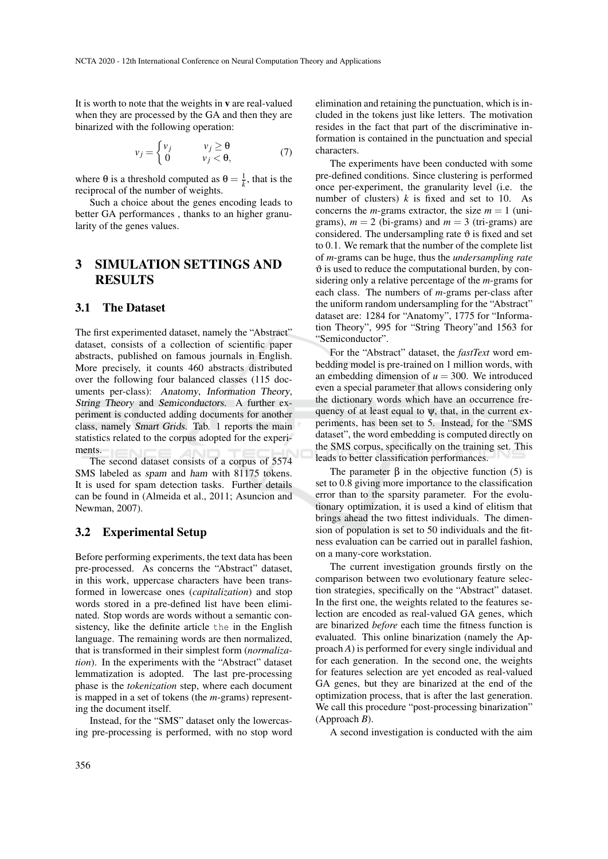It is worth to note that the weights in v are real-valued when they are processed by the GA and then they are binarized with the following operation:

$$
v_j = \begin{cases} v_j & v_j \ge \theta \\ 0 & v_j < \theta, \end{cases}
$$
 (7)

where  $\theta$  is a threshold computed as  $\theta = \frac{1}{k}$ , that is the reciprocal of the number of weights.

Such a choice about the genes encoding leads to better GA performances , thanks to an higher granularity of the genes values.

## 3 SIMULATION SETTINGS AND RESULTS

### 3.1 The Dataset

The first experimented dataset, namely the "Abstract" dataset, consists of a collection of scientific paper abstracts, published on famous journals in English. More precisely, it counts 460 abstracts distributed over the following four balanced classes (115 documents per-class): Anatomy, Information Theory, String Theory and Semiconductors. A further experiment is conducted adding documents for another class, namely Smart Grids. Tab. 1 reports the main statistics related to the corpus adopted for the experiments.

The second dataset consists of a corpus of 5574 SMS labeled as spam and ham with 81175 tokens. It is used for spam detection tasks. Further details can be found in (Almeida et al., 2011; Asuncion and Newman, 2007).

### 3.2 Experimental Setup

Before performing experiments, the text data has been pre-processed. As concerns the "Abstract" dataset, in this work, uppercase characters have been transformed in lowercase ones (*capitalization*) and stop words stored in a pre-defined list have been eliminated. Stop words are words without a semantic consistency, like the definite article the in the English language. The remaining words are then normalized, that is transformed in their simplest form (*normalization*). In the experiments with the "Abstract" dataset lemmatization is adopted. The last pre-processing phase is the *tokenization* step, where each document is mapped in a set of tokens (the *m*-grams) representing the document itself.

Instead, for the "SMS" dataset only the lowercasing pre-processing is performed, with no stop word elimination and retaining the punctuation, which is included in the tokens just like letters. The motivation resides in the fact that part of the discriminative information is contained in the punctuation and special characters.

The experiments have been conducted with some pre-defined conditions. Since clustering is performed once per-experiment, the granularity level (i.e. the number of clusters)  $k$  is fixed and set to 10. As concerns the *m*-grams extractor, the size  $m = 1$  (unigrams),  $m = 2$  (bi-grams) and  $m = 3$  (tri-grams) are considered. The undersampling rate  $\vartheta$  is fixed and set to 0.1. We remark that the number of the complete list of *m*-grams can be huge, thus the *undersampling rate*  $\vartheta$  is used to reduce the computational burden, by considering only a relative percentage of the *m*-grams for each class. The numbers of *m*-grams per-class after the uniform random undersampling for the "Abstract" dataset are: 1284 for "Anatomy", 1775 for "Information Theory", 995 for "String Theory"and 1563 for "Semiconductor".

For the "Abstract" dataset, the *fastText* word embedding model is pre-trained on 1 million words, with an embedding dimension of  $u = 300$ . We introduced even a special parameter that allows considering only the dictionary words which have an occurrence frequency of at least equal to  $\psi$ , that, in the current experiments, has been set to 5. Instead, for the "SMS dataset", the word embedding is computed directly on the SMS corpus, specifically on the training set. This leads to better classification performances.

The parameter  $β$  in the objective function (5) is set to 0.8 giving more importance to the classification error than to the sparsity parameter. For the evolutionary optimization, it is used a kind of elitism that brings ahead the two fittest individuals. The dimension of population is set to 50 individuals and the fitness evaluation can be carried out in parallel fashion, on a many-core workstation.

The current investigation grounds firstly on the comparison between two evolutionary feature selection strategies, specifically on the "Abstract" dataset. In the first one, the weights related to the features selection are encoded as real-valued GA genes, which are binarized *before* each time the fitness function is evaluated. This online binarization (namely the Approach *A*) is performed for every single individual and for each generation. In the second one, the weights for features selection are yet encoded as real-valued GA genes, but they are binarized at the end of the optimization process, that is after the last generation. We call this procedure "post-processing binarization" (Approach *B*).

A second investigation is conducted with the aim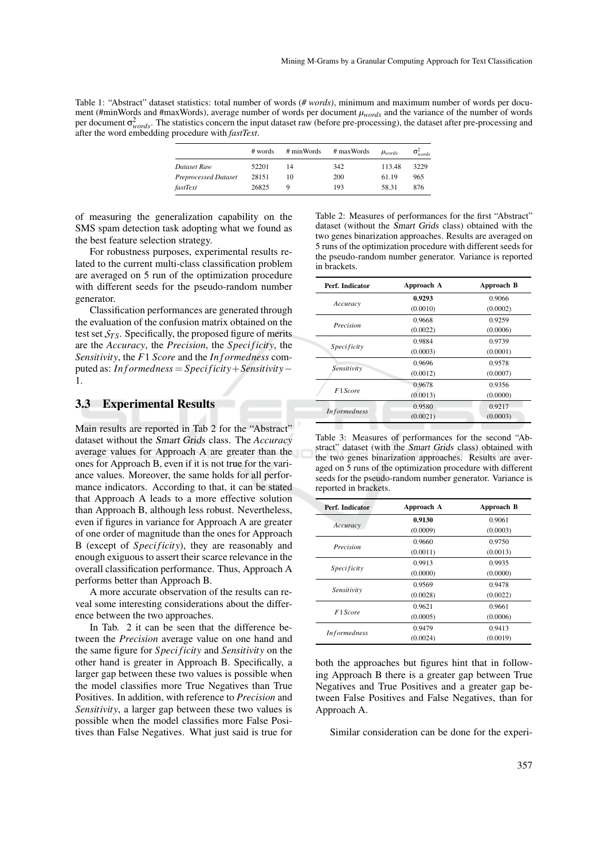Table 1: "Abstract" dataset statistics: total number of words (*# words)*, minimum and maximum number of words per document (#minWords and #maxWords), average number of words per document *µwords* and the variance of the number of words per document  $\sigma_{words}^2$ . The statistics concern the input dataset raw (before pre-processing), the dataset after pre-processing and after the word embedding procedure with *fastText*.

|                             | # words | # minWords | # maxWords | $\mu_{words}$ | $\sigma_{words}^2$ |
|-----------------------------|---------|------------|------------|---------------|--------------------|
| Dataset Raw                 | 52201   | 14         | 342        | 113.48        | 3229               |
| <b>Preprocessed Dataset</b> | 28151   | 10         | 200        | 61.19         | 965                |
| fastText                    | 26825   |            | 193        | 58.31         | 876                |

of measuring the generalization capability on the SMS spam detection task adopting what we found as the best feature selection strategy.

For robustness purposes, experimental results related to the current multi-class classification problem are averaged on 5 run of the optimization procedure with different seeds for the pseudo-random number generator.

Classification performances are generated through the evaluation of the confusion matrix obtained on the test set  $S_{TS}$ . Specifically, the proposed figure of merits are the *Accuracy*, the *Precision*, the *Speci ficity*, the *Sensitivity*, the *F*1 *Score* and the *In f ormedness* computed as: *In f ormedness* = *Speci ficity*+*Sensitivity*− 1.

#### 3.3 Experimental Results

Main results are reported in Tab 2 for the "Abstract" dataset without the Smart Grids class. The *Accuracy* average values for Approach A are greater than the ones for Approach B, even if it is not true for the variance values. Moreover, the same holds for all performance indicators. According to that, it can be stated that Approach A leads to a more effective solution than Approach B, although less robust. Nevertheless, even if figures in variance for Approach A are greater of one order of magnitude than the ones for Approach B (except of *Speci ficity*), they are reasonably and enough exiguous to assert their scarce relevance in the overall classification performance. Thus, Approach A performs better than Approach B.

A more accurate observation of the results can reveal some interesting considerations about the difference between the two approaches.

In Tab. 2 it can be seen that the difference between the *Precision* average value on one hand and the same figure for *Speci ficity* and *Sensitivity* on the other hand is greater in Approach B. Specifically, a larger gap between these two values is possible when the model classifies more True Negatives than True Positives. In addition, with reference to *Precision* and *Sensitivity*, a larger gap between these two values is possible when the model classifies more False Positives than False Negatives. What just said is true for Table 2: Measures of performances for the first "Abstract" dataset (without the Smart Grids class) obtained with the two genes binarization approaches. Results are averaged on 5 runs of the optimization procedure with different seeds for the pseudo-random number generator. Variance is reported in brackets.

| Perf. Indicator     | Approach A | Approach B |  |
|---------------------|------------|------------|--|
|                     | 0.9293     | 0.9066     |  |
| Accuracy            | (0.0010)   | (0.0002)   |  |
|                     | 0.9668     | 0.9259     |  |
| Precision           | (0.0022)   | (0.0006)   |  |
|                     | 0.9884     | 0.9739     |  |
| <i>Specificity</i>  | (0.0003)   | (0.0001)   |  |
|                     | 0.9696     | 0.9578     |  |
| Sensitivity         | (0.0012)   | (0.0007)   |  |
|                     | 0.9678     | 0.9356     |  |
| F1 Score            | (0.0013)   | (0.0000)   |  |
| <b>Informedness</b> | 0.9580     | 0.9217     |  |
|                     | (0.0021)   | (0.0003)   |  |
|                     |            |            |  |

Table 3: Measures of performances for the second "Abstract" dataset (with the Smart Grids class) obtained with the two genes binarization approaches. Results are averaged on 5 runs of the optimization procedure with different seeds for the pseudo-random number generator. Variance is reported in brackets.

| Perf. Indicator     | Approach A | Approach B |
|---------------------|------------|------------|
|                     | 0.9130     | 0.9061     |
| Accuracy            | (0.0009)   | (0.0003)   |
|                     | 0.9660     | 0.9750     |
| Precision           | (0.0011)   | (0.0013)   |
|                     | 0.9913     | 0.9935     |
| <i>Specificity</i>  | (0.0000)   | (0.0000)   |
|                     | 0.9569     | 0.9478     |
| Sensitivity         | (0.0028)   | (0.0022)   |
|                     | 0.9621     | 0.9661     |
| F1 Score            | (0.0005)   | (0.0006)   |
|                     | 0.9479     | 0.9413     |
| <b>Informedness</b> | (0.0024)   | (0.0019)   |

both the approaches but figures hint that in following Approach B there is a greater gap between True Negatives and True Positives and a greater gap between False Positives and False Negatives, than for Approach A.

Similar consideration can be done for the experi-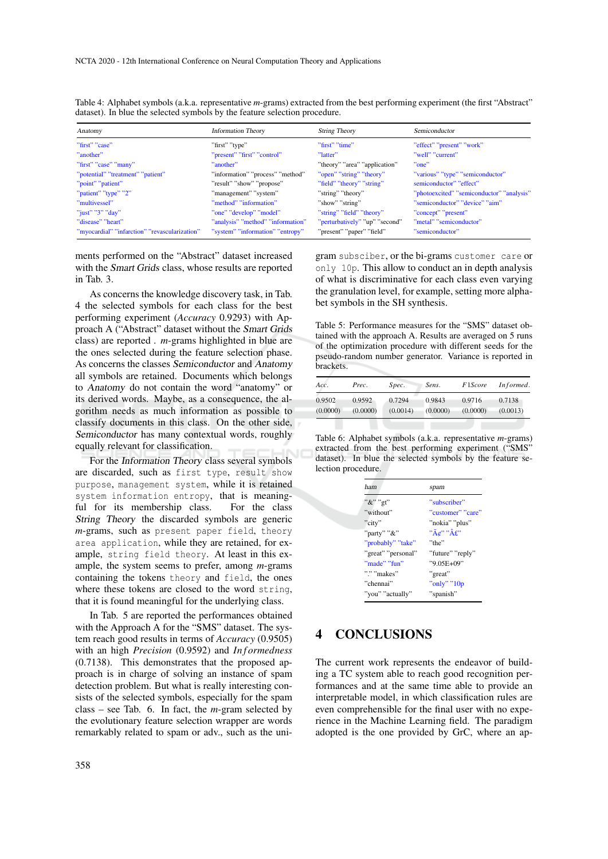| Anatomy                                       | <b>Information Theory</b>         | <b>String Theory</b>           | Semiconductor                             |
|-----------------------------------------------|-----------------------------------|--------------------------------|-------------------------------------------|
| "first" "case"                                | "first" "type"                    | "first" "time"                 | "effect" "present" "work"                 |
| "another"                                     | "present" "first" "control"       | "latter"                       | "well" "current"                          |
| "first" "case" "many"                         | "another"                         | "theory" "area" "application"  | "one"                                     |
| "potential" "treatment" "patient"             | "information" "process" "method"  | "open" "string" "theory"       | "various" "type" "semiconductor"          |
| "point" "patient"                             | "result" "show" "propose"         | "field" "theory" "string"      | semiconductor" "effect"                   |
| "patient" "type" "2"                          | "management" "system"             | "string" "theory"              | "photoexcited" "semiconductor" "analysis" |
| "multivessel"                                 | "method" "information"            | "show" "string"                | "semiconductor" "device" "aim"            |
| "just" "3" "day"                              | "one" "develop" "model"           | "string" "field" "theory"      | "concept" "present"                       |
| "disease" "heart"                             | "analysis" "method" "information" | "perturbatively" "up" "second" | "metal" "semiconductor"                   |
| "myocardial" "infarction" "revascularization" | "system" "information" "entropy"  | "present" "paper" "field"      | "semiconductor"                           |

Table 4: Alphabet symbols (a.k.a. representative *m*-grams) extracted from the best performing experiment (the first "Abstract" dataset). In blue the selected symbols by the feature selection procedure.

ments performed on the "Abstract" dataset increased with the Smart Grids class, whose results are reported in Tab. 3.

As concerns the knowledge discovery task, in Tab. 4 the selected symbols for each class for the best performing experiment (*Accuracy* 0.9293) with Approach A ("Abstract" dataset without the Smart Grids class) are reported . *m*-grams highlighted in blue are the ones selected during the feature selection phase. As concerns the classes Semiconductor and Anatomy all symbols are retained. Documents which belongs to Anatomy do not contain the word "anatomy" or its derived words. Maybe, as a consequence, the algorithm needs as much information as possible to classify documents in this class. On the other side, Semiconductor has many contextual words, roughly equally relevant for classification.

For the Information Theory class several symbols are discarded, such as first type, result show purpose, management system, while it is retained system information entropy, that is meaningful for its membership class. For the class String Theory the discarded symbols are generic *m*-grams, such as present paper field, theory area application, while they are retained, for example, string field theory. At least in this example, the system seems to prefer, among *m*-grams containing the tokens theory and field, the ones where these tokens are closed to the word string, that it is found meaningful for the underlying class.

In Tab. 5 are reported the performances obtained with the Approach A for the "SMS" dataset. The system reach good results in terms of *Accuracy* (0.9505) with an high *Precision* (0.9592) and *Informedness* (0.7138). This demonstrates that the proposed approach is in charge of solving an instance of spam detection problem. But what is really interesting consists of the selected symbols, especially for the spam class – see Tab. 6. In fact, the *m*-gram selected by the evolutionary feature selection wrapper are words remarkably related to spam or adv., such as the uni-

gram subsciber, or the bi-grams customer care or only 10p. This allow to conduct an in depth analysis of what is discriminative for each class even varying the granulation level, for example, setting more alphabet symbols in the SH synthesis.

Table 5: Performance measures for the "SMS" dataset obtained with the approach A. Results are averaged on 5 runs of the optimization procedure with different seeds for the pseudo-random number generator. Variance is reported in brackets.

| Acc.     | Prec.    | Spec.    | Sens.    | F1Score  | Informed. |
|----------|----------|----------|----------|----------|-----------|
| 0.9502   | 0.9592   | 0.7294   | 0.9843   | 0.9716   | 0.7138    |
| (0.0000) | (0.0000) | (0.0014) | (0.0000) | (0.0000) | (0.0013)  |

Table 6: Alphabet symbols (a.k.a. representative *m*-grams) extracted from the best performing experiment ("SMS" dataset). In blue the selected symbols by the feature selection procedure.

| ham                | spam                                              |
|--------------------|---------------------------------------------------|
| "&" "gt"           | "subscriber"                                      |
| "without"          | "customer" "care"                                 |
| "city"             | "nokia" "plus"                                    |
| "party" "&"        | $"\tilde{A}\mathcal{C}"$ $"\tilde{A}\mathcal{L}"$ |
| "probably" "take"  | "the"                                             |
| "great" "personal" | "future" "reply"                                  |
| "made" "fun"       | "9.05E+09"                                        |
| "." "makes"        | "great"                                           |
| "chennai"          | "only" $"10p$                                     |
| "you" "actually"   | "spanish"                                         |

## 4 CONCLUSIONS

The current work represents the endeavor of building a TC system able to reach good recognition performances and at the same time able to provide an interpretable model, in which classification rules are even comprehensible for the final user with no experience in the Machine Learning field. The paradigm adopted is the one provided by GrC, where an ap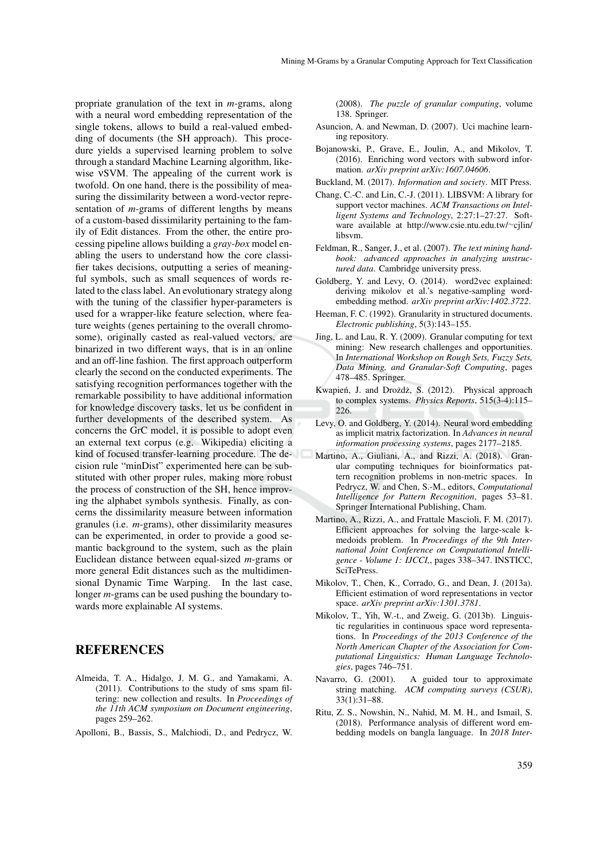propriate granulation of the text in *m*-grams, along with a neural word embedding representation of the single tokens, allows to build a real-valued embedding of documents (the SH approach). This procedure yields a supervised learning problem to solve through a standard Machine Learning algorithm, likewise νSVM. The appealing of the current work is twofold. On one hand, there is the possibility of measuring the dissimilarity between a word-vector representation of *m*-grams of different lengths by means of a custom-based dissimilarity pertaining to the family of Edit distances. From the other, the entire processing pipeline allows building a *gray-box* model enabling the users to understand how the core classifier takes decisions, outputting a series of meaningful symbols, such as small sequences of words related to the class label. An evolutionary strategy along with the tuning of the classifier hyper-parameters is used for a wrapper-like feature selection, where feature weights (genes pertaining to the overall chromosome), originally casted as real-valued vectors, are binarized in two different ways, that is in an online and an off-line fashion. The first approach outperform clearly the second on the conducted experiments. The satisfying recognition performances together with the remarkable possibility to have additional information for knowledge discovery tasks, let us be confident in further developments of the described system. As concerns the GrC model, it is possible to adopt even an external text corpus (e.g. Wikipedia) eliciting a kind of focused transfer-learning procedure. The decision rule "minDist" experimented here can be substituted with other proper rules, making more robust the process of construction of the SH, hence improving the alphabet symbols synthesis. Finally, as concerns the dissimilarity measure between information granules (i.e. *m*-grams), other dissimilarity measures can be experimented, in order to provide a good semantic background to the system, such as the plain Euclidean distance between equal-sized *m*-grams or more general Edit distances such as the multidimensional Dynamic Time Warping. In the last case, longer *m*-grams can be used pushing the boundary towards more explainable AI systems.

### REFERENCES

- Almeida, T. A., Hidalgo, J. M. G., and Yamakami, A. (2011). Contributions to the study of sms spam filtering: new collection and results. In *Proceedings of the 11th ACM symposium on Document engineering*, pages 259–262.
- Apolloni, B., Bassis, S., Malchiodi, D., and Pedrycz, W.

(2008). *The puzzle of granular computing*, volume 138. Springer.

- Asuncion, A. and Newman, D. (2007). Uci machine learning repository.
- Bojanowski, P., Grave, E., Joulin, A., and Mikolov, T. (2016). Enriching word vectors with subword information. *arXiv preprint arXiv:1607.04606*.
- Buckland, M. (2017). *Information and society*. MIT Press.
- Chang, C.-C. and Lin, C.-J. (2011). LIBSVM: A library for support vector machines. *ACM Transactions on Intelligent Systems and Technology*, 2:27:1–27:27. Software available at http://www.csie.ntu.edu.tw/∼cjlin/ libsvm.
- Feldman, R., Sanger, J., et al. (2007). *The text mining handbook: advanced approaches in analyzing unstructured data*. Cambridge university press.
- Goldberg, Y. and Levy, O. (2014). word2vec explained: deriving mikolov et al.'s negative-sampling wordembedding method. *arXiv preprint arXiv:1402.3722*.
- Heeman, F. C. (1992). Granularity in structured documents. *Electronic publishing*, 5(3):143–155.
- Jing, L. and Lau, R. Y. (2009). Granular computing for text mining: New research challenges and opportunities. In *International Workshop on Rough Sets, Fuzzy Sets, Data Mining, and Granular-Soft Computing*, pages 478–485. Springer.
- Kwapień, J. and Drożdż, S. (2012). Physical approach to complex systems. *Physics Reports*, 515(3-4):115– 226.
- Levy, O. and Goldberg, Y. (2014). Neural word embedding as implicit matrix factorization. In *Advances in neural information processing systems*, pages 2177–2185.
- Martino, A., Giuliani, A., and Rizzi, A. (2018). Granular computing techniques for bioinformatics pattern recognition problems in non-metric spaces. In Pedrycz, W. and Chen, S.-M., editors, *Computational Intelligence for Pattern Recognition*, pages 53–81. Springer International Publishing, Cham.
- Martino, A., Rizzi, A., and Frattale Mascioli, F. M. (2017). Efficient approaches for solving the large-scale kmedoids problem. In *Proceedings of the 9th International Joint Conference on Computational Intelligence - Volume 1: IJCCI,*, pages 338–347. INSTICC, SciTePress.
- Mikolov, T., Chen, K., Corrado, G., and Dean, J. (2013a). Efficient estimation of word representations in vector space. *arXiv preprint arXiv:1301.3781*.
- Mikolov, T., Yih, W.-t., and Zweig, G. (2013b). Linguistic regularities in continuous space word representations. In *Proceedings of the 2013 Conference of the North American Chapter of the Association for Computational Linguistics: Human Language Technologies*, pages 746–751.
- Navarro, G. (2001). A guided tour to approximate string matching. *ACM computing surveys (CSUR)*, 33(1):31–88.
- Ritu, Z. S., Nowshin, N., Nahid, M. M. H., and Ismail, S. (2018). Performance analysis of different word embedding models on bangla language. In *2018 Inter-*